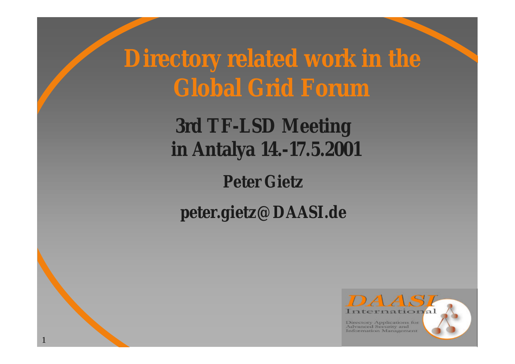**Directory related work in the Global Grid Forum**

> **3rd TF-LSD Meeting in Antalya 14.-17.5.2001**

> > **Peter Gietz**

**peter.gietz@DAASI.de**

1

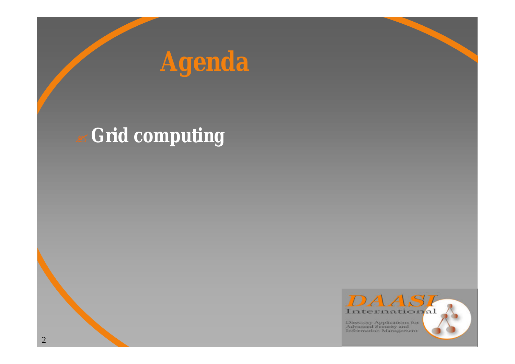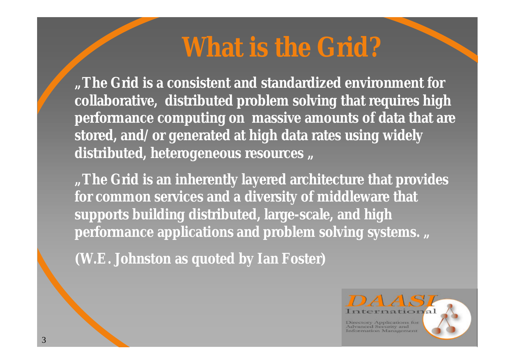# **What is the Grid?**

*"The Grid is a consistent and standardized environment for collaborative, distributed problem solving that requires high performance computing on massive amounts of data that are stored, and/or generated at high data rates using widely*  distributed, heterogeneous resources ,,

*"The Grid is an inherently layered architecture that provides for common services and a diversity of middleware that supports building distributed, large-scale, and high performance applications and problem solving systems. "*

**(W.E. Johnston as quoted by Ian Foster)**

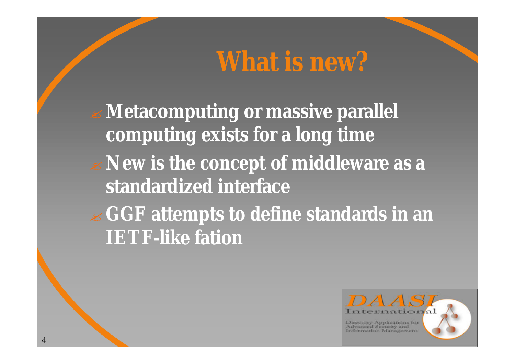# **What is new?**

? **Metacomputing or massive parallel computing exists for a long time** ? **New is the concept of middleware as a standardized interface** ? **GGF attempts to define standards in an IETF-like fation**

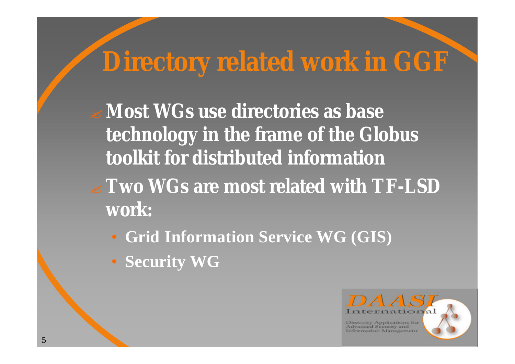# **Directory related work in GGF**

? **Most WGs use directories as base technology in the frame of the Globus toolkit for distributed information**

- ? **Two WGs are most related with TF-LSD work:**
	- **Grid Information Service WG (GIS)**
	- **Security WG**

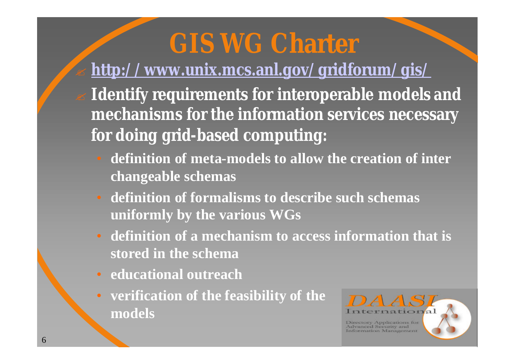# **GIS WG Charter**

#### ? **http://www.unix.mcs.anl.gov/gridforum/gis/**

- ? **Identify requirements for interoperable models and mechanisms for the information services necessary for doing grid-based computing:**
	- **definition of meta-models to allow the creation of inter changeable schemas**
	- **definition of formalisms to describe such schemas uniformly by the various WGs**
	- **definition of a mechanism to access information that is stored in the schema**
	- **educational outreach**
	- **verification of the feasibility of the models**

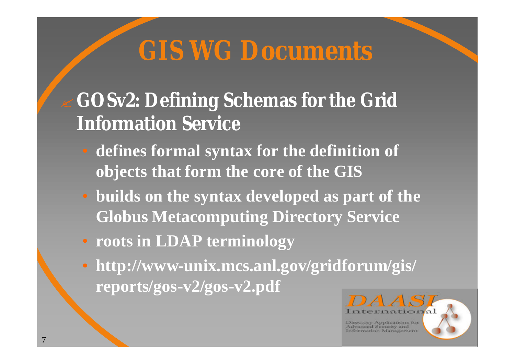# **GIS WG Documents**

### ? **GOSv2: Defining Schemas for the Grid Information Service**

- **defines formal syntax for the definition of objects that form the core of the GIS**
- **builds on the syntax developed as part of the Globus Metacomputing Directory Service**
- **roots in LDAP terminology**
- **http://www-unix.mcs.anl.gov/gridforum/gis/ reports/gos-v2/gos-v2.pdf**

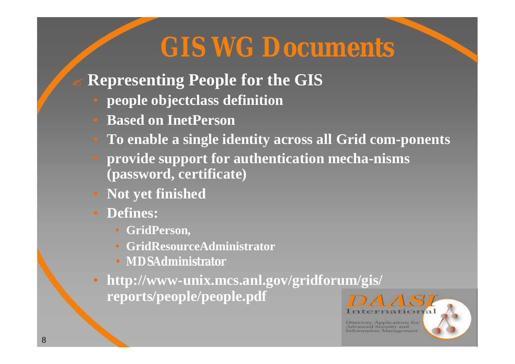# **GIS WG Documents**

- ? **Representing People for the GIS**
	- **people objectclass definition**
	- **Based on InetPerson**
	- **To enable a single identity across all Grid com-ponents**
	- **provide support for authentication mecha-nisms (password, certificate)**
	- **Not yet finished**
	- **Defines:**
		- **GridPerson,**
		- **GridResourceAdministrator**
		- **MDSAdministrator**
	- **http://www-unix.mcs.anl.gov/gridforum/gis/ reports/people/people.pdf**

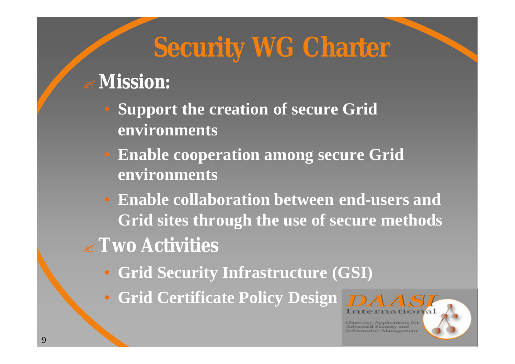# **Security WG Charter**

### ? **Mission:**

- **Support the creation of secure Grid environments**
- **Enable cooperation among secure Grid environments**
- **Enable collaboration between end-users and Grid sites through the use of secure methods**
- ? **Two Activities**
	- **Grid Security Infrastructure (GSI)**
	- Grid Certificate Policy Design **DA**

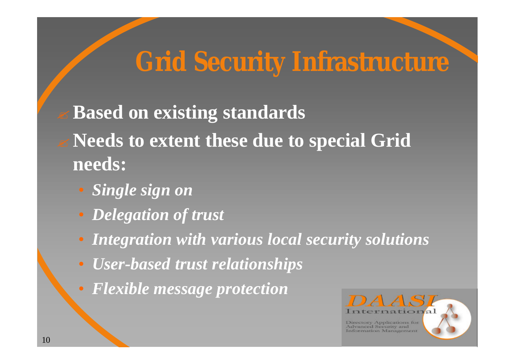# **Grid Security Infrastructure**

? **Based on existing standards** ? **Needs to extent these due to special Grid needs:**

- *Single sign on*
- *Delegation of trust*
- *Integration with various local security solutions*
- *User-based trust relationships*
- *Flexible message protection*

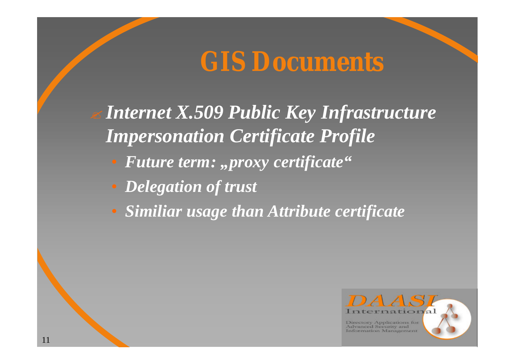### **GIS Documents**

? *Internet X.509 Public Key Infrastructure Impersonation Certificate Profile*

- **Future term: "proxy certificate"**
- *Delegation of trust*
- *Similiar usage than Attribute certificate*

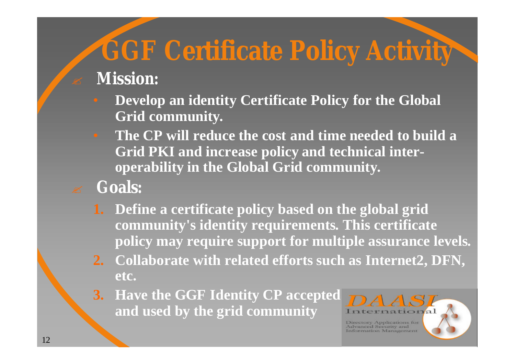# **GGF Certificate Policy Activity**

#### ? **Mission:**

- **Develop an identity Certificate Policy for the Global Grid community.**
- **The CP will reduce the cost and time needed to build a Grid PKI and increase policy and technical interoperability in the Global Grid community.**
- ? **Goals:**
	- **1. Define a certificate policy based on the global grid community's identity requirements. This certificate policy may require support for multiple assurance levels.**
	- **2. Collaborate with related efforts such as Internet2, DFN, etc.**
	- **3. Have the GGF Identity CP accepted and used by the grid community**

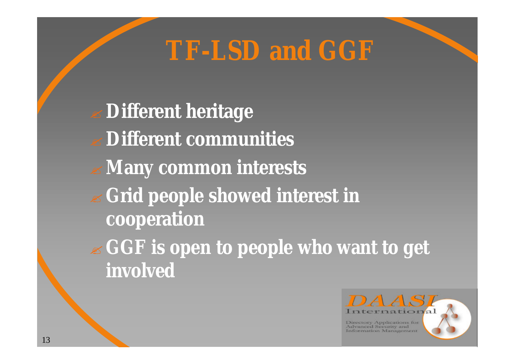## **TF-LSD and GGF**

? **Different heritage** ? **Different communities** ? **Many common interests** ? **Grid people showed interest in cooperation** ? **GGF is open to people who want to get involved**